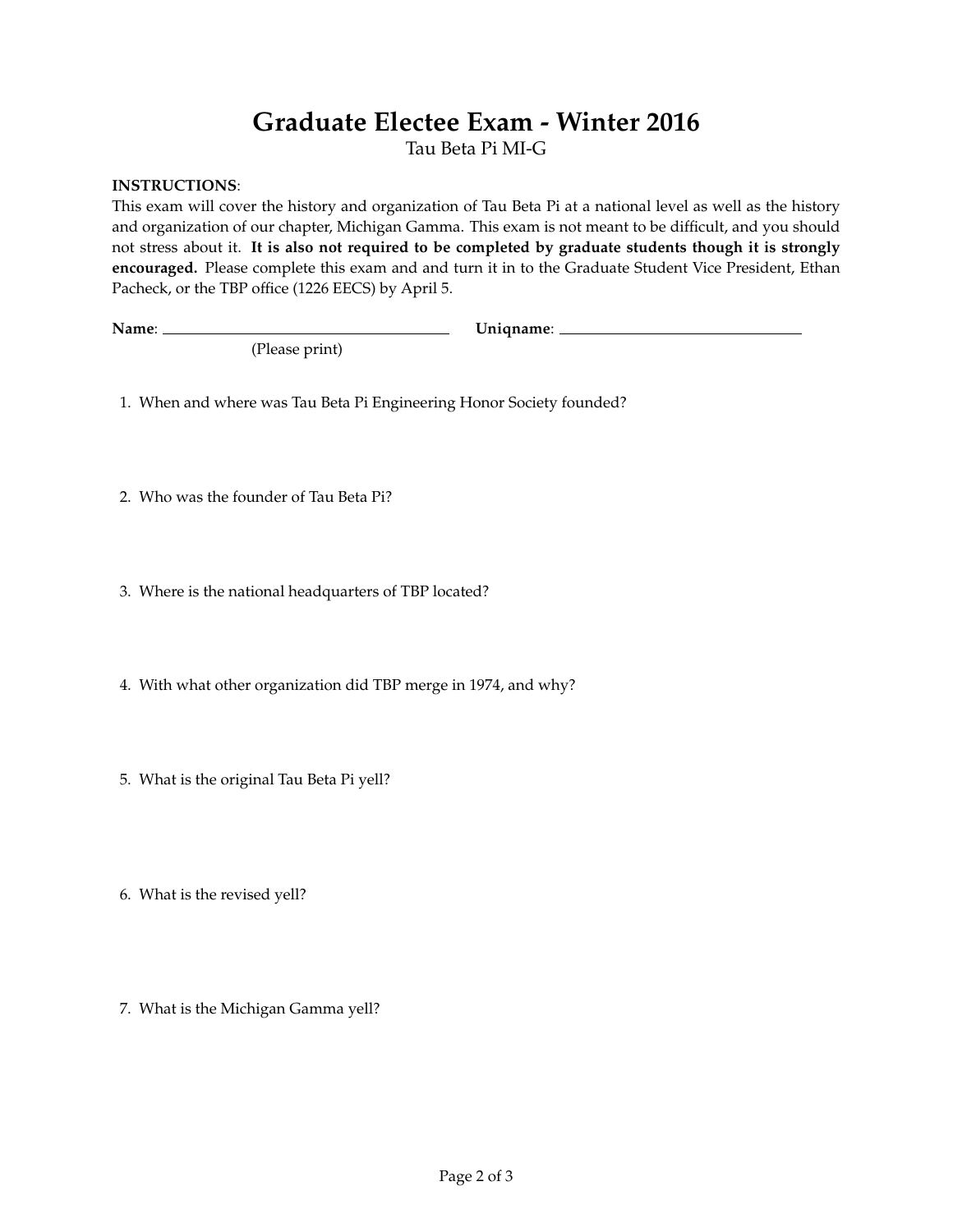# **Graduate Electee Exam - Winter 2016**

Tau Beta Pi MI-G

### **INSTRUCTIONS**:

This exam will cover the history and organization of Tau Beta Pi at a national level as well as the history and organization of our chapter, Michigan Gamma. This exam is not meant to be difficult, and you should not stress about it. **It is also not required to be completed by graduate students though it is strongly encouraged.** Please complete this exam and and turn it in to the Graduate Student Vice President, Ethan Pacheck, or the TBP office (1226 EECS) by April 5.

**Name**: **Uniqname**:

1. When and where was Tau Beta Pi Engineering Honor Society founded?

(Please print)

2. Who was the founder of Tau Beta Pi?

3. Where is the national headquarters of TBP located?

4. With what other organization did TBP merge in 1974, and why?

5. What is the original Tau Beta Pi yell?

6. What is the revised yell?

7. What is the Michigan Gamma yell?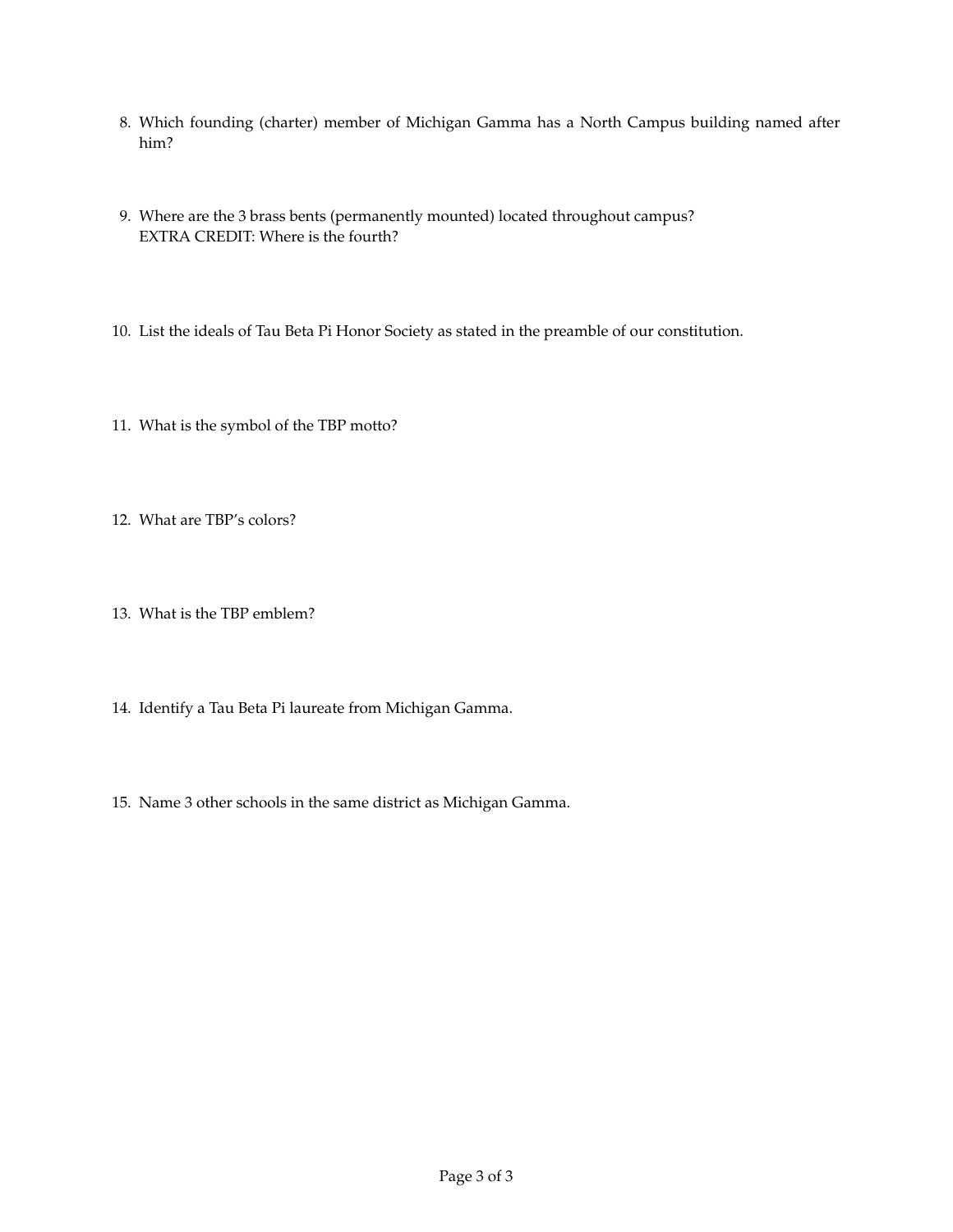- 8. Which founding (charter) member of Michigan Gamma has a North Campus building named after him?
- 9. Where are the 3 brass bents (permanently mounted) located throughout campus? EXTRA CREDIT: Where is the fourth?
- 10. List the ideals of Tau Beta Pi Honor Society as stated in the preamble of our constitution.
- 11. What is the symbol of the TBP motto?
- 12. What are TBP's colors?
- 13. What is the TBP emblem?
- 14. Identify a Tau Beta Pi laureate from Michigan Gamma.
- 15. Name 3 other schools in the same district as Michigan Gamma.